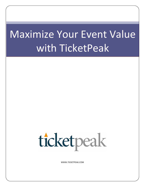# Maximize Your Event Value with TicketPeak



WWW.TICKETPEAK.COM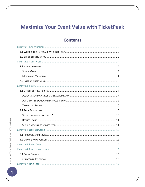# **Maximize Your Event Value with TicketPeak**

# **Contents**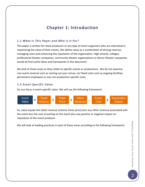# **Chapter 1: Introduction**

# *1.1 What Is This Paper and Who Is It For?*

This paper is written for show producers or any type of event organizers who are interested in maximizing the value of their events. We define value as a combination of driving revenue, managing costs and enhancing the reputation of the organization. High schools, colleges, professional theater companies, community theater organizations or dinner theater companies would all find useful ideas and frameworks in this document.

We look at these areas as they relate to specific events or productions. We do not examine non-event revenue such as renting out your venue, nor fixed costs such as ongoing facilities, permanent employees or any non-production specific costs.

# *1.2 Event-Specific Value*

So, our focus is event-specific value. We will use the following framework:



So, value equals the ticket revenue (volume times price) plus any other revenue associated with the event less the cost of putting on the event plus any positive or negative impact on reputation of the event producer.

We will look at leading practices in each of these areas according to the following framework: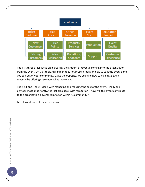

The first three areas focus on increasing the amount of revenue coming into the organization from the event. On that topic, this paper does not present ideas on how to squeeze every dime you can out of your community. Quite the opposite, we examine how to maximize event revenue by offering customers what they want.

The next one  $-$  cost  $-$  deals with managing and reducing the cost of the event. Finally and perhaps most importantly, the last area deals with reputation - how will this event contribute to the organization's overall reputation within its community?

Let's look at each of these five areas ...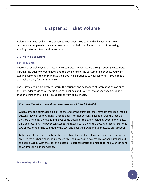# **Chapter 2: Ticket Volume**

Volume deals with selling more tickets to your event. You can do this by acquiring new customers – people who have not previously attended one of your shows, or interesting existing customers to attend more shows.

#### *2.1 New Customers*

#### **Social Media**

There are several ways to attract new customers. The best way is through existing customers. Through the quality of your shows and the excellence of the customer experience, you want existing customers to communicate their positive experience to new customers. Social media can make it easy for them to do so.

These days, people are likely to inform their friends and colleagues of interesting shows or of their attendance via social media such as Facebook and Twitter. Major sports teams report that one-third of their tickets sales comes from social media.

#### *How does TicketPeak help drive new customer with Social Media?*

When someone purchases a ticket, at the end of the purchase, they have several social media buttons they can click. Clicking Facebook posts to that person's Facebook wall the fact that they are attending the event and gives some details of the event including event name, date, time and location. The buyer can accept the text as is, so the entire posting process takes only two clicks, or he or she can modify the text and post their own unique message on Facebook.

TicketPeak also enables the ticket buyer to Tweet, again by clicking button and accepting the draft Tweet or changing it should they wish. The buyer can also email his or her purchase out to people. Again, with the click of a button, TicketPeak drafts an email that the buyer can send to whomever he or she wishes.

#### **Measuring Marketing**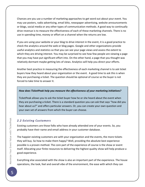Chances are you use a number of marketing approaches to get word out about your event. You may use posters, radio advertising, email blitz, newspaper advertising, website announcements or blogs, social media or any other types of communication methods. A good way to continually drive revenue is to measure the effectiveness of each of these marketing channels. There is no use in spending time, money or effort on a channel when the returns are low.

If you are using your website or your blog to drive interest in the event, it is a good practice to check the analytics around the web or blog pages. Google and other organizations provide useful analytics and statistics so that you can see your page views and assess the extent to which they are driving interest. You may be surprised to see how few people are viewing a page that you may have put significant effort into. On the other hand, a page that you thought was relatively dormant maybe getting lots of views. Analytics will help you direct your efforts.

Another best practice in measuring the effectiveness of each marketing channel is to ask ticket buyers how they heard about your organization or the event. A good time to ask this is when they are purchasing a ticket. The question should be optional of course so the buyer is not forced to take time to answer it.

#### How does TicketPeak help you measure the effectiveness of your marketing initiatives?

TicketPeak allows you to ask the ticket buyer how he or she heard about the event when they are purchasing a ticket. There is a standard question you can ask that says "how did you hear about us?" and offers particular answers. Or, you can create your own question and your own set of answers from which the buyer can choose.

## *2.2 Existing Customers*

Existing customers are those folks who have already attended one of your events. So, you probably have their name and email address in your customer database.

The happier existing customers are with your organization and the events, the more tickets they will buy. So how to make them happy? Well, providing the absolute best experience possible is a proven method. The core part of the experience of course is the show or event itself. Allocating your finite resources to delivering the highest quality show will help produce a good experience.

Everything else associated with the show is also an important part of the experience. The house operations, the look, feel and overall vibe of the environment, the ease with which they can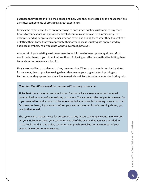purchase their tickets and find their seats, and how well they are treated by the house staff are all critical components of providing a great experience.

Besides the experience, there are other ways to encourage existing customers to buy more tickets to your events. An appropriate level of communications can help significantly. For example, sending people a short email after an event and asking them what they thought of it or letting them know that you appreciate their attendance is usually quite appreciated by audience members. You would not want to overdo it, however.

Also, most of your existing customers want to be informed of new upcoming shows. Most would be bothered if you did not inform them. So having an effective method for letting them know about future events is helpful.

Finally cross-selling is an element of any revenue plan. When a customer is purchasing tickets for an event, they appreciate seeing what other events your organization is putting on. Furthermore, they appreciate the ability to easily buy tickets for other events should they wish.

#### *How does TicketPeak help drive revenue with existing customers?*

TicketPeak has a customer communication function which allows you to send an email communication to any of your existing customers. You can select the recipients by event. So, if you wanted to send a note to folks who attended your show last evening, you can do that. On the other hand, if you wish to inform your entire customer list of upcoming shows, you can do that as well.

The system also makes it easy for customers to buy tickets to multiple events in one order. On your TicketPeak page, your customers see all of the events that you have decided to make Public. And, in one order, customers can purchase tickets for any number of your events. One order for many events.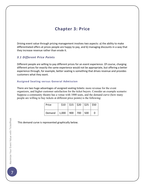# **Chapter 3: Price**

Driving event value through pricing management involves two aspects: a) the ability to make differentiated offers at prices people are happy to pay, and b) managing discounts in a way that they increase revenue rather than erode it.

## *3.1 Different Price Points*

Different people are willing to pay different prices for an event experience. Of course, charging different prices for exactly the same experience would not be appropriate, but offering a better experience through, for example, better seating is something that drives revenue and provides customers what they want.

#### **Assigned Seating versus General Admission**

There are two huge advantages of assigned seating tickets: more revenue for the event organizers, and higher customer satisfaction for the ticket buyers. Consider an example scenario: Suppose a community theatre has a venue with 1000 seats, and the demand curve (how many people are willing to buy tickets at different price points) is the following:

| Price  |                   | $$10$   \$15   \$20   \$25   \$50 |  |  |
|--------|-------------------|-----------------------------------|--|--|
| Demand | 1,000 900 700 500 |                                   |  |  |

This demand curve is represented graphically below.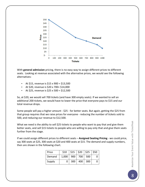

With **general admission** pricing, there is no easy way to assign different prices to different seats. Looking at revenue associated with the alternative prices, we would see the following alternatives:

- At \$15, revenue is \$15 x 900 = \$13,500
- At \$20, revenue is \$20 x 700= \$14,000
- At \$25, revenue is \$25 x 500 = \$12,500

So, at \$20, we would sell 700 tickets (and have 300 empty seats). If we wanted to sell an additional 200 tickets, we would have to lower the price that everyone pays to \$15 and our total revenue drops.

Some people will pay a higher amount - \$25 - for better seats. But again, getting the \$25 from that group requires that we raise prices for everyone - reducing the number of tickets sold to 500, and reducing our revenue to \$12,500.

What we need is the ability to sell \$25 tickets to people who want to pay that and give them better seats, and sell \$15 tickets to people who are willing to pay only that and give them seats further from the stage.

If we could assign different prices to different seats – **Assigned Seating Pricing** - we could price, say 300 seats at \$25, 300 seats at \$20 and 400 seats at \$15. The demand and supply numbers, then are shown in the following chart.

| Price  | \$10  |     |     | $\frac{1}{2}$ \$15 $\frac{1}{2}$ \$20 $\frac{1}{2}$ \$25 $\frac{1}{2}$ \$50 |  |
|--------|-------|-----|-----|-----------------------------------------------------------------------------|--|
| Demand | 1,000 | 900 | 700 | 500                                                                         |  |
| Supply | 0     | 300 | 400 | 300                                                                         |  |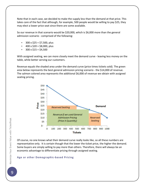Note that in each case, we decided to make the supply less than the demand at that price. This takes care of the fact that although, for example, 500 people would be willing to pay \$25, they may elect a lower price seat since there are some available.

So our revenue in that scenario would be \$20,000, which is \$6,000 more than the general admission scenario - comprised of the following:

- $300 \times $25 = $7,500$ , plus
- $400 \times $20 = $8,000$ , plus
- $300 \times $15 = $4,500$

With assigned seating, we can more closely meet the demand curve - leaving less money on the table, while better serving our customers.

Revenue equals the shaded area under the demand curve (price times tickets sold). The green area below represents the best general admission pricing scenario - the \$14,000 of revenue. The salmon colored area represents the additional \$6,000 of revenue we obtain with assigned seating pricing.



Of course, no one knows what their demand curve really looks like, so all these numbers are representative only. It is certain though that the lower the ticket price, the higher the demand. Some buyers are simply willing to pay more than others. Therefore, there will always be an economic advantage to differentiate pricing through assigned seating.

#### **Age or other Demographic-based Pricing**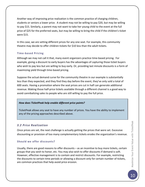Another way of improving price realization is the common practice of charging children, students or seniors a lower price. A student may not be willing to pay \$20, but may be willing to pay \$15. Similarly, a parent may not want to take her young child to the event at the full price of \$25 for the preferred seats, but may be willing to bring the child if the children's ticket were \$15.

In this case, we are setting different prices for any one seat. For example, this community theatre may decide to offer children tickets for \$10 less than the adult tickets.

## **Time-based Pricing**

Although we may not call it that, many event organizers practice time-based pricing. For example, giving a discount to early buyers has the advantages of capturing those ticket buyers who wish to pay less but are willing to buy early. Or, providing last minute discounts is a form of maximizing yield through time-based pricing.

Suppose the actual demand curve for the community theatre in our example is substantially less than they expected, and they find they day before the event, they've only sold a total of 600 seats. Having a promotion where the seat prices are cut in half can generate additional revenue. Making those half-price tickets available through a different channel is a good way to avoid cannibalizing sales to people who are still willing to pay the full price.

## *How does TicketPeak help enable different price points?*

TicketPeak allows any seat to have any number of prices. You have the ability to implement any of the pricing approaches described above.

# *3.2 Price Realization*

Once prices are set, the next challenge is actually getting the prices that were set. Excessive discounting or provision of too many complementary tickets erodes the organization's revenue.

## **Should we offer discounts?**

Usually, there are good reasons to offer discounts  $-$  as an incentive to buy more tickets, certain groups that you wish to honor, etc. You may also wish to offer discounts if demand is soft. However, effective management is to contain and restrict discounts. For example, restricting the discounts to certain time periods or allowing a discount only for certain number of tickets, are common practices that help avoid price erosion.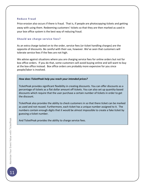#### **Reduce Fraud**

Price erosion also occurs if there is fraud. That is, if people are photocopying tickets and getting away with using them. Redeeming customers' tickets so that they are then marked as used in your box office system is the best way of reducing fraud.

## **Should we charge service fees?**

As an extra charge tacked on to the order, service fees (or ticket handling charges) are the opposite of discounts. Be careful with their use, however. We've seen that customers will tolerate service fees if the fees are not high.

We advise against situations where you are charging service fees for online orders but not for box office orders. If you do that, some customers will avoid buying online and will want to buy at the box office instead. Box office orders are probably more expensive for you since people/labor is involved.

## *How does TicketPeak help you reach your intended prices?*

TicketPeak provides significant flexibility in creating discounts. You can offer discounts as a percentage of tickets as a flat dollar amount off tickets. You can also set up quantity-based discounts which require that the user purchase a certain number of tickets in order to get the discount.

TicketPeak also provides the ability to check customers in so that there ticket can be marked as used and not reused. Furthermore, each ticket has a unique number assigned to it. The numbers contain enough digits that it would be almost impossible to create a fake ticket by guessing a ticket number.

And TicketPeak provides the ability to charge service fees.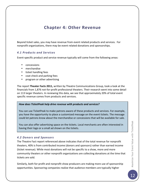# **Chapter 4: Other Revenue**

Beyond ticket sales, you may have revenue from event related products and services. For nonprofit organizations, there may be event related donations and sponsorships.

# *4.1 Products and Services*

Event-specific product and service revenue typically will come from the following areas:

- concessions
- merchandise
- ticket handling fees
- coat check and parking fees
- program or other advertising

The report Theater Facts 2011, written by Theatre Communications Group, took a look at the financials from 1,876 not-for-profit professional theaters. Their research went into some detail on 113 larger theaters. In reviewing this data, we see that approximately 20% of total event specific revenue comes from products and services.

#### How does TicketPeak help drive revenue with products and services?

You can use TicketPeak to make patrons aware of these products and services. For example, you have the opportunity to place a customized message on the event tickets. The message could let patrons know about the merchandise or concessions that will be available for sale.

You can also offer advertising space on the tickets. Local merchants are often interested in having their logo or a small ad shown on the tickets.

## *4.2 Donors and Sponsors*

The Theatre Fact report referenced above indicates that of the total revenue for nonprofit theaters, 40% is from contributed income (donors and sponsors) rather than earned income (ticket revenue). While most donations will not be specific to a show, more and more community theaters or other nonprofit organizations are collecting donations at the time that tickets are sold.

Similarly, both for-profit and nonprofit show producers are making more use of sponsorship opportunities. Sponsoring companies realize that audience members are typically higher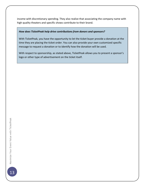income with discretionary spending. They also realize that associating the company name with high quality theaters and specific shows contribute to their brand.

#### How does TicketPeak help drive contributions from donors and sponsors?

With TicketPeak, you have the opportunity to let the ticket buyer provide a donation at the time they are placing the ticket order. You can also provide your own customized specific message to request a donation or to identify how the donation will be used.

With respect to sponsorship, as stated above, TicketPeak allows you to present a sponsor's logo or other type of advertisement on the ticket itself.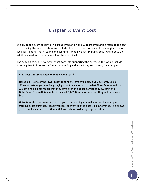# **Chapter 5: Event Cost**

We divide the event cost into two areas: Production and Support. Production refers to the cost of producing the event or show and includes the cost of performers and the marginal cost of facilities, lighting, music, sound and costumes. When we say "marginal cost", we refer to the additional cost incurred as a result of the event itself.

The support costs are everything that goes into supporting the event. So this would include ticketing, front of house staff, event marketing and advertising and ushers, for example.

#### *How does TicketPeak help manage event cost?*

TicketPeak is one of the lower cost ticketing systems available. If you currently use a different system, you are likely paying about twice as much is what TicketPeak would cost. We have had clients report that they save over one dollar per ticket by switching to TicketPeak. The math is simple: if they sell 5,000 tickets to the event they will have saved \$5000.

TicketPeak also automates tasks that you may be doing manually today. For example, tracking ticket purchases, seat inventory, or event related data is all automated. This allows you to reallocate labor to other activities such as marketing or production.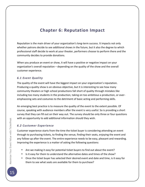# **Chapter 6: Reputation Impact**

Reputation is the main driver of your organization's long-term success. It impacts not only whether patrons decide to see additional shows in the future, but it also the degree to which professional staff decide to work at your theater, performers choose to perform there and the community decides to provide donations.

When you produce an event or show, it will have a positive or negative impact on your organization's overall reputation – depending on the quality of the show and the overall customer experience.

## *6.1 Event Quality*

The quality of the event will have the biggest impact on your organization's reputation. Producing a quality show is an obvious objective, but it is interesting to see how many community theaters or high school productions fall short of quality through mistakes like including too many students in the production, taking on too ambitious a production, or overemphasizing sets and costumes to the detriment of basic acting and performing skills.

An emerging best practice is to measure the quality of the event to the extent possible. Of course, speaking with audience members after the event is very useful. So is providing a short survey that they can fill out on their way out. The survey should be only three or four questions with an opportunity to add additional information should they wish.

## *6.2 Customer Experience*

Customer experience starts from the time the ticket buyer is considering attending an event through to purchasing tickets, to finding the venue, finding their seats, enjoying the event and any follow-up after the event. The entire experience needs to be easy, pleasant and rewarding. Improving the experience is a matter of asking the following questions:

- Are we making it easy for potential ticket buyers to find out about the event?
- Is it easy for them to understand the alternative dates and times of the show?
- Once the ticket buyer has selected their desired event and date and time, is it easy for them to see what seats are available for them to purchase?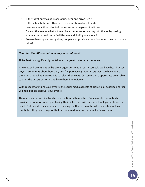- Is the ticket purchasing process fun, clear and error-free?
- Is the actual ticket an attractive representation of our brand?
- Have we made it easy to find the venue with maps or directions?
- Once at the venue, what is the entire experience for walking into the lobby, seeing where any concessions or facilities are and finding one's seat?
- Are we thanking and recognizing people who provide a donation when they purchase a ticket?

#### *How does TicketPeak contribute to your reputation?*

TicketPeak can significantly contribute to a great customer experience.

As we attend events put on by event organizers who used TicketPeak, we have heard ticket buyers' comments about how easy and fun purchasing their tickets was. We have heard them describe what a breeze it is to select their seats. Customers also appreciate being able to print the tickets at home and have them immediately.

With respect to finding your events, the social media aspects of TicketPeak described earlier will help people discover your events.

There are also some nice touches on the tickets themselves. For example if somebody provided a donation when purchasing their ticket they will receive a thank you note on the ticket. Not only do they appreciate receiving the thank you note, when an usher looks at that ticket, they can recognize that patron as a donor and personally thank them.